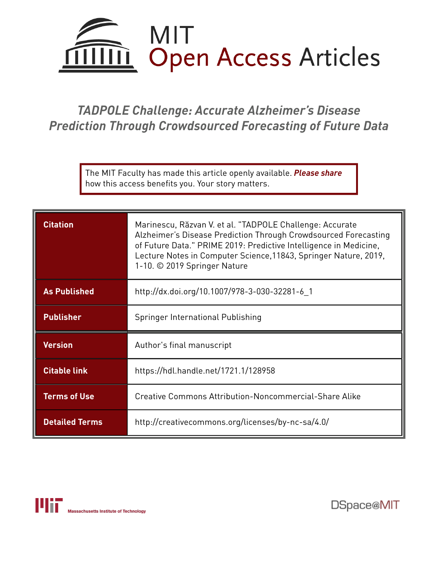

# *TADPOLE Challenge: Accurate Alzheimer's Disease Prediction Through Crowdsourced Forecasting of Future Data*

The MIT Faculty has made this article openly available. *[Please](https://libraries.mit.edu/forms/dspace-oa-articles.html) share* how this access benefits you. Your story matters.

| <b>Citation</b>       | Marinescu, Răzvan V. et al. "TADPOLE Challenge: Accurate<br>Alzheimer's Disease Prediction Through Crowdsourced Forecasting<br>of Future Data." PRIME 2019: Predictive Intelligence in Medicine,<br>Lecture Notes in Computer Science, 11843, Springer Nature, 2019,<br>1-10. © 2019 Springer Nature |
|-----------------------|------------------------------------------------------------------------------------------------------------------------------------------------------------------------------------------------------------------------------------------------------------------------------------------------------|
| <b>As Published</b>   | http://dx.doi.org/10.1007/978-3-030-32281-6_1                                                                                                                                                                                                                                                        |
| <b>Publisher</b>      | Springer International Publishing                                                                                                                                                                                                                                                                    |
| <b>Version</b>        | Author's final manuscript                                                                                                                                                                                                                                                                            |
| <b>Citable link</b>   | https://hdl.handle.net/1721.1/128958                                                                                                                                                                                                                                                                 |
| <b>Terms of Use</b>   | Creative Commons Attribution-Noncommercial-Share Alike                                                                                                                                                                                                                                               |
| <b>Detailed Terms</b> | http://creativecommons.org/licenses/by-nc-sa/4.0/                                                                                                                                                                                                                                                    |

DSpace@MIT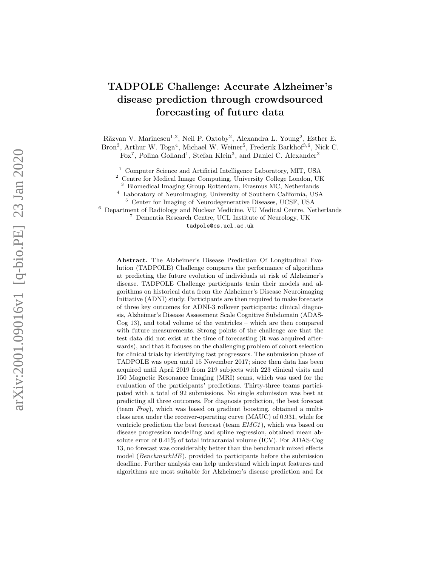# TADPOLE Challenge: Accurate Alzheimer's disease prediction through crowdsourced forecasting of future data

Răzvan V. Marinescu<sup>1,2</sup>, Neil P. Oxtoby<sup>2</sup>, Alexandra L. Young<sup>2</sup>, Esther E. Bron<sup>3</sup>, Arthur W. Toga<sup>4</sup>, Michael W. Weiner<sup>5</sup>, Frederik Barkhof<sup>3,6</sup>, Nick C. Fox<sup>7</sup>, Polina Golland<sup>1</sup>, Stefan Klein<sup>3</sup>, and Daniel C. Alexander<sup>2</sup>

<sup>1</sup> Computer Science and Artificial Intelligence Laboratory, MIT, USA<br><sup>2</sup> Centre for Medical Image Computing University College London, UL

<sup>2</sup> Centre for Medical Image Computing, University College London, UK

<sup>3</sup> Biomedical Imaging Group Rotterdam, Erasmus MC, Netherlands

<sup>4</sup> Laboratory of NeuroImaging, University of Southern California, USA

<sup>5</sup> Center for Imaging of Neurodegenerative Diseases, UCSF, USA

<sup>6</sup> Department of Radiology and Nuclear Medicine, VU Medical Centre, Netherlands <sup>7</sup> Dementia Research Centre, UCL Institute of Neurology, UK tadpole@cs.ucl.ac.uk

Abstract. The Alzheimer's Disease Prediction Of Longitudinal Evolution (TADPOLE) Challenge compares the performance of algorithms at predicting the future evolution of individuals at risk of Alzheimer's disease. TADPOLE Challenge participants train their models and algorithms on historical data from the Alzheimer's Disease Neuroimaging Initiative (ADNI) study. Participants are then required to make forecasts of three key outcomes for ADNI-3 rollover participants: clinical diagnosis, Alzheimer's Disease Assessment Scale Cognitive Subdomain (ADAS-Cog 13), and total volume of the ventricles – which are then compared with future measurements. Strong points of the challenge are that the test data did not exist at the time of forecasting (it was acquired afterwards), and that it focuses on the challenging problem of cohort selection for clinical trials by identifying fast progressors. The submission phase of TADPOLE was open until 15 November 2017; since then data has been acquired until April 2019 from 219 subjects with 223 clinical visits and 150 Magnetic Resonance Imaging (MRI) scans, which was used for the evaluation of the participants' predictions. Thirty-three teams participated with a total of 92 submissions. No single submission was best at predicting all three outcomes. For diagnosis prediction, the best forecast (team Frog), which was based on gradient boosting, obtained a multiclass area under the receiver-operating curve (MAUC) of 0.931, while for ventricle prediction the best forecast (team EMC1 ), which was based on disease progression modelling and spline regression, obtained mean absolute error of 0.41% of total intracranial volume (ICV). For ADAS-Cog 13, no forecast was considerably better than the benchmark mixed effects model (BenchmarkME), provided to participants before the submission deadline. Further analysis can help understand which input features and algorithms are most suitable for Alzheimer's disease prediction and for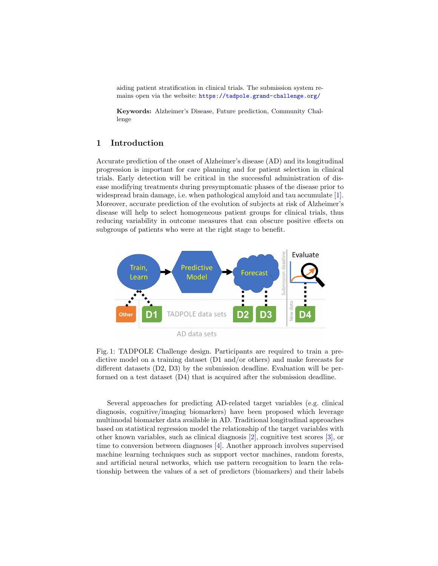aiding patient stratification in clinical trials. The submission system remains open via the website: <https://tadpole.grand-challenge.org/>

Keywords: Alzheimer's Disease, Future prediction, Community Challenge

# 1 Introduction

Accurate prediction of the onset of Alzheimer's disease (AD) and its longitudinal progression is important for care planning and for patient selection in clinical trials. Early detection will be critical in the successful administration of disease modifying treatments during presymptomatic phases of the disease prior to widespread brain damage, i.e. when pathological amyloid and tau accumulate [\[1\]](#page-9-0). Moreover, accurate prediction of the evolution of subjects at risk of Alzheimer's disease will help to select homogeneous patient groups for clinical trials, thus reducing variability in outcome measures that can obscure positive effects on subgroups of patients who were at the right stage to benefit.

<span id="page-2-0"></span>

Fig. 1: TADPOLE Challenge design. Participants are required to train a predictive model on a training dataset (D1 and/or others) and make forecasts for different datasets (D2, D3) by the submission deadline. Evaluation will be performed on a test dataset (D4) that is acquired after the submission deadline.

Several approaches for predicting AD-related target variables (e.g. clinical diagnosis, cognitive/imaging biomarkers) have been proposed which leverage multimodal biomarker data available in AD. Traditional longitudinal approaches based on statistical regression model the relationship of the target variables with other known variables, such as clinical diagnosis [\[2\]](#page-10-0), cognitive test scores [\[3\]](#page-10-1), or time to conversion between diagnoses [\[4\]](#page-10-2). Another approach involves supervised machine learning techniques such as support vector machines, random forests, and artificial neural networks, which use pattern recognition to learn the relationship between the values of a set of predictors (biomarkers) and their labels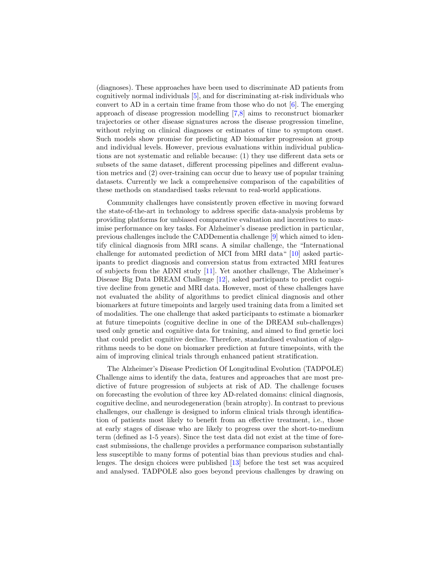(diagnoses). These approaches have been used to discriminate AD patients from cognitively normal individuals [\[5\]](#page-10-3), and for discriminating at-risk individuals who convert to AD in a certain time frame from those who do not  $[6]$ . The emerging approach of disease progression modelling [\[7,](#page-10-5)[8\]](#page-10-6) aims to reconstruct biomarker trajectories or other disease signatures across the disease progression timeline, without relying on clinical diagnoses or estimates of time to symptom onset. Such models show promise for predicting AD biomarker progression at group and individual levels. However, previous evaluations within individual publications are not systematic and reliable because: (1) they use different data sets or subsets of the same dataset, different processing pipelines and different evaluation metrics and (2) over-training can occur due to heavy use of popular training datasets. Currently we lack a comprehensive comparison of the capabilities of these methods on standardised tasks relevant to real-world applications.

Community challenges have consistently proven effective in moving forward the state-of-the-art in technology to address specific data-analysis problems by providing platforms for unbiased comparative evaluation and incentives to maximise performance on key tasks. For Alzheimer's disease prediction in particular, previous challenges include the CADDementia challenge [\[9\]](#page-10-7) which aimed to identify clinical diagnosis from MRI scans. A similar challenge, the "International challenge for automated prediction of MCI from MRI data" [\[10\]](#page-10-8) asked participants to predict diagnosis and conversion status from extracted MRI features of subjects from the ADNI study [\[11\]](#page-10-9). Yet another challenge, The Alzheimer's Disease Big Data DREAM Challenge [\[12\]](#page-10-10), asked participants to predict cognitive decline from genetic and MRI data. However, most of these challenges have not evaluated the ability of algorithms to predict clinical diagnosis and other biomarkers at future timepoints and largely used training data from a limited set of modalities. The one challenge that asked participants to estimate a biomarker at future timepoints (cognitive decline in one of the DREAM sub-challenges) used only genetic and cognitive data for training, and aimed to find genetic loci that could predict cognitive decline. Therefore, standardised evaluation of algorithms needs to be done on biomarker prediction at future timepoints, with the aim of improving clinical trials through enhanced patient stratification.

The Alzheimer's Disease Prediction Of Longitudinal Evolution (TADPOLE) Challenge aims to identify the data, features and approaches that are most predictive of future progression of subjects at risk of AD. The challenge focuses on forecasting the evolution of three key AD-related domains: clinical diagnosis, cognitive decline, and neurodegeneration (brain atrophy). In contrast to previous challenges, our challenge is designed to inform clinical trials through identification of patients most likely to benefit from an effective treatment, i.e., those at early stages of disease who are likely to progress over the short-to-medium term (defined as 1-5 years). Since the test data did not exist at the time of forecast submissions, the challenge provides a performance comparison substantially less susceptible to many forms of potential bias than previous studies and challenges. The design choices were published [\[13\]](#page-10-11) before the test set was acquired and analysed. TADPOLE also goes beyond previous challenges by drawing on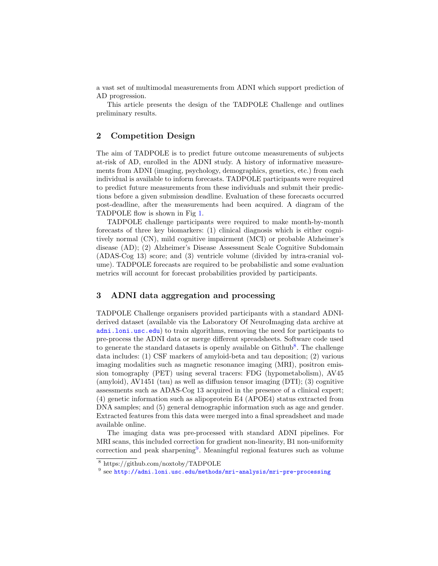a vast set of multimodal measurements from ADNI which support prediction of AD progression.

This article presents the design of the TADPOLE Challenge and outlines preliminary results.

# 2 Competition Design

The aim of TADPOLE is to predict future outcome measurements of subjects at-risk of AD, enrolled in the ADNI study. A history of informative measurements from ADNI (imaging, psychology, demographics, genetics, etc.) from each individual is available to inform forecasts. TADPOLE participants were required to predict future measurements from these individuals and submit their predictions before a given submission deadline. Evaluation of these forecasts occurred post-deadline, after the measurements had been acquired. A diagram of the TADPOLE flow is shown in Fig [1.](#page-2-0)

TADPOLE challenge participants were required to make month-by-month forecasts of three key biomarkers: (1) clinical diagnosis which is either cognitively normal (CN), mild cognitive impairment (MCI) or probable Alzheimer's disease (AD); (2) Alzheimer's Disease Assessment Scale Cognitive Subdomain (ADAS-Cog 13) score; and (3) ventricle volume (divided by intra-cranial volume). TADPOLE forecasts are required to be probabilistic and some evaluation metrics will account for forecast probabilities provided by participants.

## 3 ADNI data aggregation and processing

TADPOLE Challenge organisers provided participants with a standard ADNIderived dataset (available via the Laboratory Of NeuroImaging data archive at <adni.loni.usc.edu>) to train algorithms, removing the need for participants to pre-process the ADNI data or merge different spreadsheets. Software code used to generate the standard datasets is openly available on  $Github<sup>8</sup>$  $Github<sup>8</sup>$  $Github<sup>8</sup>$ . The challenge data includes: (1) CSF markers of amyloid-beta and tau deposition; (2) various imaging modalities such as magnetic resonance imaging (MRI), positron emission tomography (PET) using several tracers: FDG (hypometabolism), AV45 (amyloid), AV1451 (tau) as well as diffusion tensor imaging (DTI); (3) cognitive assessments such as ADAS-Cog 13 acquired in the presence of a clinical expert; (4) genetic information such as alipoprotein E4 (APOE4) status extracted from DNA samples; and (5) general demographic information such as age and gender. Extracted features from this data were merged into a final spreadsheet and made available online.

The imaging data was pre-processed with standard ADNI pipelines. For MRI scans, this included correction for gradient non-linearity, B1 non-uniformity correction and peak sharpening<sup>[9](#page-4-1)</sup>. Meaningful regional features such as volume

<span id="page-4-0"></span><sup>8</sup> https://github.com/noxtoby/TADPOLE

<span id="page-4-1"></span> $^9$  see [http://adni.loni.usc.edu/methods/mri-analysis/mri-pre-processing](http://adni.loni.usc.edu/methods/mri-analysis/ mri-pre-processing)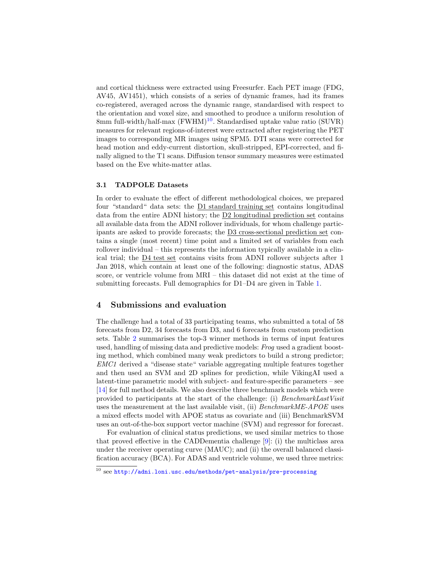and cortical thickness were extracted using Freesurfer. Each PET image (FDG, AV45, AV1451), which consists of a series of dynamic frames, had its frames co-registered, averaged across the dynamic range, standardised with respect to the orientation and voxel size, and smoothed to produce a uniform resolution of 8mm full-width/half-max  $(FWHM)^{10}$  $(FWHM)^{10}$  $(FWHM)^{10}$ . Standardised uptake value ratio  $(SUVR)$ measures for relevant regions-of-interest were extracted after registering the PET images to corresponding MR images using SPM5. DTI scans were corrected for head motion and eddy-current distortion, skull-stripped, EPI-corrected, and finally aligned to the T1 scans. Diffusion tensor summary measures were estimated based on the Eve white-matter atlas.

#### 3.1 TADPOLE Datasets

In order to evaluate the effect of different methodological choices, we prepared four "standard" data sets: the D1 standard training set contains longitudinal data from the entire ADNI history; the D2 longitudinal prediction set contains all available data from the ADNI rollover individuals, for whom challenge participants are asked to provide forecasts; the D3 cross-sectional prediction set contains a single (most recent) time point and a limited set of variables from each rollover individual  $-$  this represents the information typically available in a clinical trial; the D4 test set contains visits from ADNI rollover subjects after 1 Jan 2018, which contain at least one of the following: diagnostic status, ADAS score, or ventricle volume from MRI – this dataset did not exist at the time of submitting forecasts. Full demographics for D1–D4 are given in Table [1.](#page-6-0)

#### 4 Submissions and evaluation

The challenge had a total of 33 participating teams, who submitted a total of 58 forecasts from D2, 34 forecasts from D3, and 6 forecasts from custom prediction sets. Table [2](#page-6-1) summarises the top-3 winner methods in terms of input features used, handling of missing data and predictive models: Frog used a gradient boosting method, which combined many weak predictors to build a strong predictor; EMC1 derived a "disease state" variable aggregating multiple features together and then used an SVM and 2D splines for prediction, while VikingAI used a latent-time parametric model with subject- and feature-specific parameters – see [\[14\]](#page-10-12) for full method details. We also describe three benchmark models which were provided to participants at the start of the challenge: (i) BenchmarkLastVisit uses the measurement at the last available visit, (ii) *BenchmarkME-APOE* uses a mixed effects model with APOE status as covariate and (iii) BenchmarkSVM uses an out-of-the-box support vector machine (SVM) and regressor for forecast.

For evaluation of clinical status predictions, we used similar metrics to those that proved effective in the CADDementia challenge [\[9\]](#page-10-7): (i) the multiclass area under the receiver operating curve (MAUC); and (ii) the overall balanced classification accuracy (BCA). For ADAS and ventricle volume, we used three metrics:

<span id="page-5-0"></span> $\overline{^{10}}$  see <http://adni.loni.usc.edu/methods/pet-analysis/pre-processing>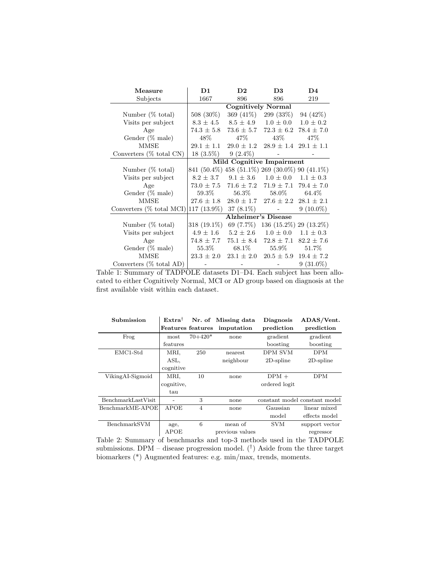<span id="page-6-0"></span>

| Measure                     | D1<br>$\mathbf{D}2$                            |                             | D <sub>3</sub>                   | $\mathbf{D}4$  |  |  |  |
|-----------------------------|------------------------------------------------|-----------------------------|----------------------------------|----------------|--|--|--|
| Subjects                    | 1667                                           | 896<br>896                  |                                  | 219            |  |  |  |
|                             | Cognitively Normal                             |                             |                                  |                |  |  |  |
| Number $(\% \text{ total})$ | 508 (30%)                                      | 369 (41\%)                  | 299 (33\%)                       | 94 (42\%)      |  |  |  |
| Visits per subject          |                                                | $8.3 \pm 4.5$ $8.5 \pm 4.9$ | $1.0 \pm 0.0$                    | $1.0 \pm 0.2$  |  |  |  |
| Age                         | $74.3 \pm 5.8$                                 |                             | $73.6 \pm 5.7$ $72.3 \pm 6.2$    | $78.4 \pm 7.0$ |  |  |  |
| Gender (% male)             | 48\%                                           | $47\%$                      | 43%                              | 47\%           |  |  |  |
| <b>MMSE</b>                 | $29.1 \pm 1.1$                                 | $29.0 \pm 1.2$              | $28.9 \pm 1.4$ $29.1 \pm 1.1$    |                |  |  |  |
| Converters $(\%$ total CN)  | $18(3.5\%)$                                    | $9(2.4\%)$                  |                                  |                |  |  |  |
|                             | Mild Cognitive Impairment                      |                             |                                  |                |  |  |  |
| Number (% total)            | 841 (50.4%) 458 (51.1%) 269 (30.0%) 90 (41.1%) |                             |                                  |                |  |  |  |
| Visits per subject          | $8.2 \pm 3.7$                                  | $9.1 \pm 3.6$               | $1.0 \pm 0.0$                    | $1.1 \pm 0.3$  |  |  |  |
| Age                         | $73.0 \pm 7.5$                                 | $71.6 \pm 7.2$              | $71.9 \pm 7.1$                   | $79.4 \pm 7.0$ |  |  |  |
| Gender (% male)             | $59.3\%$                                       | $56.3\%$                    | $58.0\%$                         | 64.4%          |  |  |  |
| <b>MMSE</b>                 | $27.6 \pm 1.8$                                 | $28.0 \pm 1.7$              | $27.6 \pm 2.2$ $28.1 \pm 2.1$    |                |  |  |  |
| Converters $(\%$ total MCI) | $117(13.9\%)$                                  | 37 (8.1\%)                  | and the state of the state       | $9(10.0\%)$    |  |  |  |
|                             | <b>Alzheimer's Disease</b>                     |                             |                                  |                |  |  |  |
| Number $(\% \text{ total})$ | $318(19.1\%)$                                  |                             | 69 (7.7%) 136 (15.2%) 29 (13.2%) |                |  |  |  |
| Visits per subject          | $4.9 \pm 1.6$                                  | $5.2 \pm 2.6$               | $1.0 \pm 0.0$                    | $1.1 \pm 0.3$  |  |  |  |
| Age                         | $74.8 \pm 7.7$                                 | $75.1 \pm 8.4$              | $72.8 \pm 7.1$                   | $82.2 \pm 7.6$ |  |  |  |
| Gender (% male)             | $55.3\%$                                       | 68.1\%                      | $55.9\%$                         | 51.7%          |  |  |  |
| <b>MMSE</b>                 | $23.3 \pm 2.0$                                 | $23.1 \pm 2.0$              | $20.5 \pm 5.9$                   | $19.4 \pm 7.2$ |  |  |  |
| Converters $(\%$ total AD)  |                                                |                             |                                  | $9(31.0\%)$    |  |  |  |

Table 1: Summary of TADPOLE datasets D1–D4. Each subject has been allocated to either Cognitively Normal, MCI or AD group based on diagnosis at the first available visit within each dataset.

<span id="page-6-1"></span>

| Submission         | $Extra^{\dagger}$ |                | Nr. of Missing data | <b>Diagnosis</b> | ADAS/Vent.                    |
|--------------------|-------------------|----------------|---------------------|------------------|-------------------------------|
|                    | Features features |                | imputation          | prediction       | prediction                    |
| Frog               | most              | $70 + 420*$    | none                | gradient         | gradient                      |
|                    | features          |                |                     | boosting         | boosting                      |
| $EMC1-Std$         | MRI,              | 250            | nearest             | DPM SVM          | <b>DPM</b>                    |
|                    | ASL,              |                | neighbour           | $2D$ -spline     | $2D$ -spline                  |
|                    | cognitive         |                |                     |                  |                               |
| VikingAI-Sigmoid   | MRI,              | 10             | none                | $DPM +$          | DPM                           |
|                    | cognitive,        |                |                     | ordered logit    |                               |
|                    | tan               |                |                     |                  |                               |
| BenchmarkLastVisit |                   | 3              | none                |                  | constant model constant model |
| $BenchmarkME-APOE$ | <b>APOE</b>       | $\overline{4}$ | none                | Gaussian         | linear mixed                  |
|                    |                   |                |                     | model            | effects model                 |
| BenchmarkSVM       | age,              | 6              | mean of             | <b>SVM</b>       | support vector                |
|                    | APOE              |                | previous values     |                  | regressor                     |

Table 2: Summary of benchmarks and top-3 methods used in the TADPOLE submissions. DPM – disease progression model.  $(\dagger)$  Aside from the three target biomarkers (\*) Augmented features: e.g. min/max, trends, moments.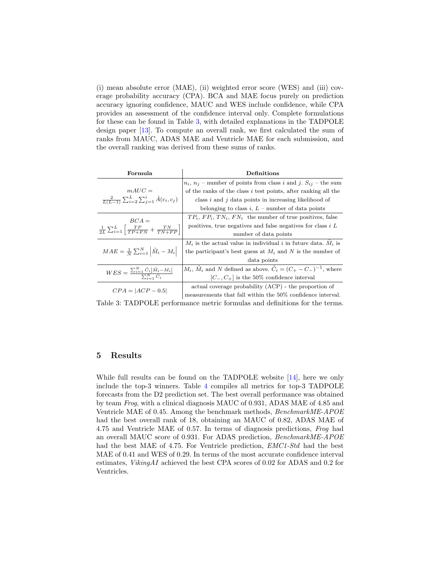(i) mean absolute error (MAE), (ii) weighted error score (WES) and (iii) coverage probability accuracy (CPA). BCA and MAE focus purely on prediction accuracy ignoring confidence, MAUC and WES include confidence, while CPA provides an assessment of the confidence interval only. Complete formulations for these can be found in Table [3,](#page-7-0) with detailed explanations in the TADPOLE design paper [\[13\]](#page-10-11). To compute an overall rank, we first calculated the sum of ranks from MAUC, ADAS MAE and Ventricle MAE for each submission, and the overall ranking was derived from these sums of ranks.

<span id="page-7-0"></span>

| Formula                                                                                 | $\mathop{\mathrm{Definitions}}\nolimits$                                               |  |  |  |  |
|-----------------------------------------------------------------------------------------|----------------------------------------------------------------------------------------|--|--|--|--|
|                                                                                         | $n_i$ , $n_j$ – number of points from class i and j. $S_{ij}$ – the sum                |  |  |  |  |
| $mAUC =$                                                                                | of the ranks of the class $i$ test points, after ranking all the                       |  |  |  |  |
| $\frac{2}{L(L-1)}\sum_{i=2}^{L}\sum_{j=1}^{i}\hat{A}(c_i,c_j)$                          | class i and j data points in increasing likelihood of                                  |  |  |  |  |
|                                                                                         | belonging to class i, $L$ – number of data points                                      |  |  |  |  |
| $BCA =$                                                                                 | $TP_i$ , $FP_i$ , $TN_i$ , $FN_i$ the number of true positives, false                  |  |  |  |  |
| $\frac{1}{2L}\sum_{i=1}^{L}\left[\frac{TP}{TP+FN}+\frac{TN}{TN+FP}\right]$              | positives, true negatives and false negatives for class $i L$                          |  |  |  |  |
|                                                                                         | number of data points                                                                  |  |  |  |  |
|                                                                                         | $M_i$ is the actual value in individual i in future data. $M_i$ is                     |  |  |  |  |
| $MAE = \frac{1}{N} \sum_{i=1}^{N}  \tilde{M}_i - M_i $                                  | the participant's best guess at $M_i$ and N is the number of                           |  |  |  |  |
|                                                                                         | data points                                                                            |  |  |  |  |
|                                                                                         | $M_i$ , $\tilde{M}_i$ and N defined as above. $\tilde{C}_i = (C_+ - C_-)^{-1}$ , where |  |  |  |  |
| $WES = \frac{\sum_{i=1}^{N} \tilde{C}_i  \tilde{M}_i - M_i }{\sum_{i}^{N} \tilde{C}_i}$ | $[C_-, C_+]$ is the 50% confidence interval                                            |  |  |  |  |
| $CPA =  ACP - 0.5 $                                                                     | actual coverage probability (ACP) - the proportion of                                  |  |  |  |  |
|                                                                                         | measurements that fall within the 50% confidence interval.                             |  |  |  |  |

Table 3: TADPOLE performance metric formulas and definitions for the terms.

# 5 Results

While full results can be found on the TADPOLE website [\[14\]](#page-10-12), here we only include the top-3 winners. Table [4](#page-8-0) compiles all metrics for top-3 TADPOLE forecasts from the D2 prediction set. The best overall performance was obtained by team Frog, with a clinical diagnosis MAUC of 0.931, ADAS MAE of 4.85 and Ventricle MAE of 0.45. Among the benchmark methods, BenchmarkME-APOE had the best overall rank of 18, obtaining an MAUC of 0.82, ADAS MAE of 4.75 and Ventricle MAE of 0.57. In terms of diagnosis predictions, Frog had an overall MAUC score of 0.931. For ADAS prediction, BenchmarkME-APOE had the best MAE of 4.75. For Ventricle prediction, EMC1-Std had the best MAE of 0.41 and WES of 0.29. In terms of the most accurate confidence interval estimates, VikingAI achieved the best CPA scores of 0.02 for ADAS and 0.2 for Ventricles.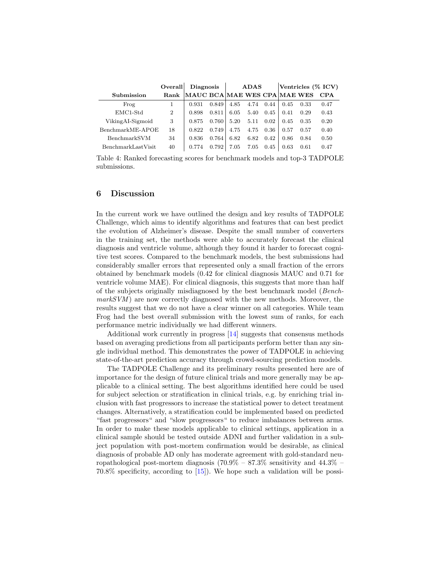<span id="page-8-0"></span>

|                           | Overall        | <b>Diagnosis</b>             |       | <b>ADAS</b> |      |      | Ventricles (% ICV) |      |      |
|---------------------------|----------------|------------------------------|-------|-------------|------|------|--------------------|------|------|
| Submission                | Rank           | MAUC BCA MAE WES CPA MAE WES |       |             |      |      |                    |      | CPA  |
| Frog                      |                | 0.931                        | 0.849 | 4.85        | 4.74 | 0.44 | 0.45               | 0.33 | 0.47 |
| $EMC1-Std$                | $\overline{2}$ | 0.898                        | 0.811 | 6.05        | 5.40 | 0.45 | 0.41               | 0.29 | 0.43 |
| VikingAI-Sigmoid          | 3              | 0.875                        | 0.760 | 5.20        | 5.11 | 0.02 | 0.45               | 0.35 | 0.20 |
| BenchmarkME-APOE          | 18             | 0.822                        | 0.749 | 4.75        | 4.75 | 0.36 | 0.57               | 0.57 | 0.40 |
| BenchmarkSVM              | 34             | 0.836                        | 0.764 | 6.82        | 6.82 | 0.42 | 0.86               | 0.84 | 0.50 |
| <b>BenchmarkLastVisit</b> | 40             | 0.774                        | 0.792 | 7.05        | 7.05 | 0.45 | 0.63               | 0.61 | 0.47 |

Table 4: Ranked forecasting scores for benchmark models and top-3 TADPOLE submissions.

# 6 Discussion

In the current work we have outlined the design and key results of TADPOLE Challenge, which aims to identify algorithms and features that can best predict the evolution of Alzheimer's disease. Despite the small number of converters in the training set, the methods were able to accurately forecast the clinical diagnosis and ventricle volume, although they found it harder to forecast cognitive test scores. Compared to the benchmark models, the best submissions had considerably smaller errors that represented only a small fraction of the errors obtained by benchmark models (0.42 for clinical diagnosis MAUC and 0.71 for ventricle volume MAE). For clinical diagnosis, this suggests that more than half of the subjects originally misdiagnosed by the best benchmark model (Bench $markSVM$  are now correctly diagnosed with the new methods. Moreover, the results suggest that we do not have a clear winner on all categories. While team Frog had the best overall submission with the lowest sum of ranks, for each performance metric individually we had different winners.

Additional work currently in progress [\[14\]](#page-10-12) suggests that consensus methods based on averaging predictions from all participants perform better than any single individual method. This demonstrates the power of TADPOLE in achieving state-of-the-art prediction accuracy through crowd-sourcing prediction models.

The TADPOLE Challenge and its preliminary results presented here are of importance for the design of future clinical trials and more generally may be applicable to a clinical setting. The best algorithms identified here could be used for subject selection or stratification in clinical trials, e.g. by enriching trial inclusion with fast progressors to increase the statistical power to detect treatment changes. Alternatively, a stratification could be implemented based on predicted "fast progressors" and "slow progressors" to reduce imbalances between arms. In order to make these models applicable to clinical settings, application in a clinical sample should be tested outside ADNI and further validation in a subject population with post-mortem confirmation would be desirable, as clinical diagnosis of probable AD only has moderate agreement with gold-standard neuropathological post-mortem diagnosis  $(70.9\% - 87.3\%$  sensitivity and  $44.3\%$ 70.8% specificity, according to [\[15\]](#page-10-13)). We hope such a validation will be possi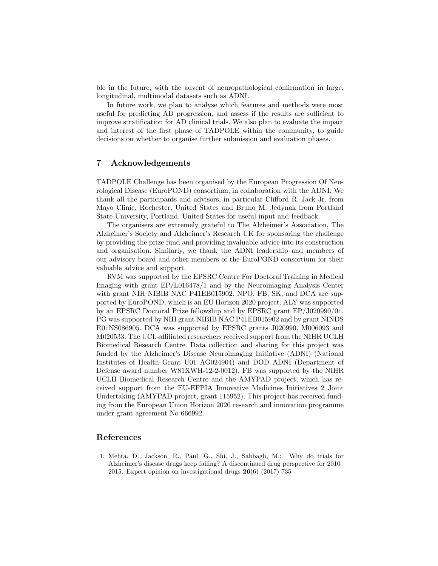ble in the future, with the advent of neuropathological confirmation in large, longitudinal, multimodal datasets such as ADNI.

In future work, we plan to analyse which features and methods were most useful for predicting AD progression, and assess if the results are sufficient to improve stratification for AD clinical trials. We also plan to evaluate the impact and interest of the first phase of TADPOLE within the community, to guide decisions on whether to organise further submission and evaluation phases.

# 7 Acknowledgements

TADPOLE Challenge has been organised by the European Progression Of Neurological Disease (EuroPOND) consortium, in collaboration with the ADNI. We thank all the participants and advisors, in particular Clifford R. Jack Jr. from Mayo Clinic, Rochester, United States and Bruno M. Jedynak from Portland State University, Portland, United States for useful input and feedback.

The organisers are extremely grateful to The Alzheimer's Association, The Alzheimer's Society and Alzheimer's Research UK for sponsoring the challenge by providing the prize fund and providing invaluable advice into its construction and organisation. Similarly, we thank the ADNI leadership and members of our advisory board and other members of the EuroPOND consortium for their valuable advice and support.

RVM was supported by the EPSRC Centre For Doctoral Training in Medical Imaging with grant EP/L016478/1 and by the Neuroimaging Analysis Center with grant NIH NIBIB NAC P41EB015902. NPO, FB, SK, and DCA are supported by EuroPOND, which is an EU Horizon 2020 project. ALY was supported by an EPSRC Doctoral Prize fellowship and by EPSRC grant EP/J020990/01. PG was supported by NIH grant NIBIB NAC P41EB015902 and by grant NINDS R01NS086905. DCA was supported by EPSRC grants J020990, M006093 and M020533. The UCL-affiliated researchers received support from the NIHR UCLH Biomedical Research Centre. Data collection and sharing for this project was funded by the Alzheimer's Disease Neuroimaging Initiative (ADNI) (National Institutes of Health Grant U01 AG024904) and DOD ADNI (Department of Defense award number W81XWH-12-2-0012). FB was supported by the NIHR UCLH Biomedical Research Centre and the AMYPAD project, which has received support from the EU-EFPIA Innovative Medicines Initiatives 2 Joint Undertaking (AMYPAD project, grant 115952). This project has received funding from the European Union Horizon 2020 research and innovation programme under grant agreement No 666992.

## References

<span id="page-9-0"></span>1. Mehta, D., Jackson, R., Paul, G., Shi, J., Sabbagh, M.: Why do trials for Alzheimer's disease drugs keep failing? A discontinued drug perspective for 2010– 2015. Expert opinion on investigational drugs  $26(6)$  (2017) 735